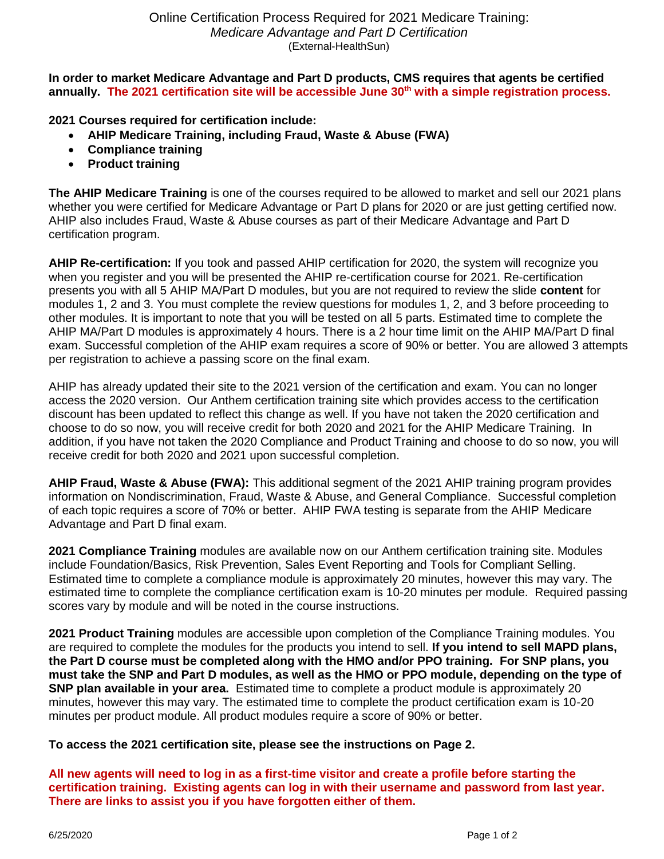**In order to market Medicare Advantage and Part D products, CMS requires that agents be certified annually. The 2021 certification site will be accessible June 30th with a simple registration process.**

**2021 Courses required for certification include:** 

- **AHIP Medicare Training, including Fraud, Waste & Abuse (FWA)**
- **Compliance training**
- **Product training**

**The AHIP Medicare Training** is one of the courses required to be allowed to market and sell our 2021 plans whether you were certified for Medicare Advantage or Part D plans for 2020 or are just getting certified now. AHIP also includes Fraud, Waste & Abuse courses as part of their Medicare Advantage and Part D certification program.

**AHIP Re-certification:** If you took and passed AHIP certification for 2020, the system will recognize you when you register and you will be presented the AHIP re-certification course for 2021. Re-certification presents you with all 5 AHIP MA/Part D modules, but you are not required to review the slide **content** for modules 1, 2 and 3. You must complete the review questions for modules 1, 2, and 3 before proceeding to other modules. It is important to note that you will be tested on all 5 parts. Estimated time to complete the AHIP MA/Part D modules is approximately 4 hours. There is a 2 hour time limit on the AHIP MA/Part D final exam. Successful completion of the AHIP exam requires a score of 90% or better. You are allowed 3 attempts per registration to achieve a passing score on the final exam.

AHIP has already updated their site to the 2021 version of the certification and exam. You can no longer access the 2020 version. Our Anthem certification training site which provides access to the certification discount has been updated to reflect this change as well. If you have not taken the 2020 certification and choose to do so now, you will receive credit for both 2020 and 2021 for the AHIP Medicare Training. In addition, if you have not taken the 2020 Compliance and Product Training and choose to do so now, you will receive credit for both 2020 and 2021 upon successful completion.

**AHIP Fraud, Waste & Abuse (FWA):** This additional segment of the 2021 AHIP training program provides information on Nondiscrimination, Fraud, Waste & Abuse, and General Compliance. Successful completion of each topic requires a score of 70% or better. AHIP FWA testing is separate from the AHIP Medicare Advantage and Part D final exam.

**2021 Compliance Training** modules are available now on our Anthem certification training site. Modules include Foundation/Basics, Risk Prevention, Sales Event Reporting and Tools for Compliant Selling. Estimated time to complete a compliance module is approximately 20 minutes, however this may vary. The estimated time to complete the compliance certification exam is 10-20 minutes per module. Required passing scores vary by module and will be noted in the course instructions.

**2021 Product Training** modules are accessible upon completion of the Compliance Training modules. You are required to complete the modules for the products you intend to sell. **If you intend to sell MAPD plans, the Part D course must be completed along with the HMO and/or PPO training. For SNP plans, you must take the SNP and Part D modules, as well as the HMO or PPO module, depending on the type of SNP plan available in your area.** Estimated time to complete a product module is approximately 20 minutes, however this may vary. The estimated time to complete the product certification exam is 10-20 minutes per product module. All product modules require a score of 90% or better.

## **To access the 2021 certification site, please see the instructions on Page 2.**

**All new agents will need to log in as a first-time visitor and create a profile before starting the certification training. Existing agents can log in with their username and password from last year. There are links to assist you if you have forgotten either of them.**